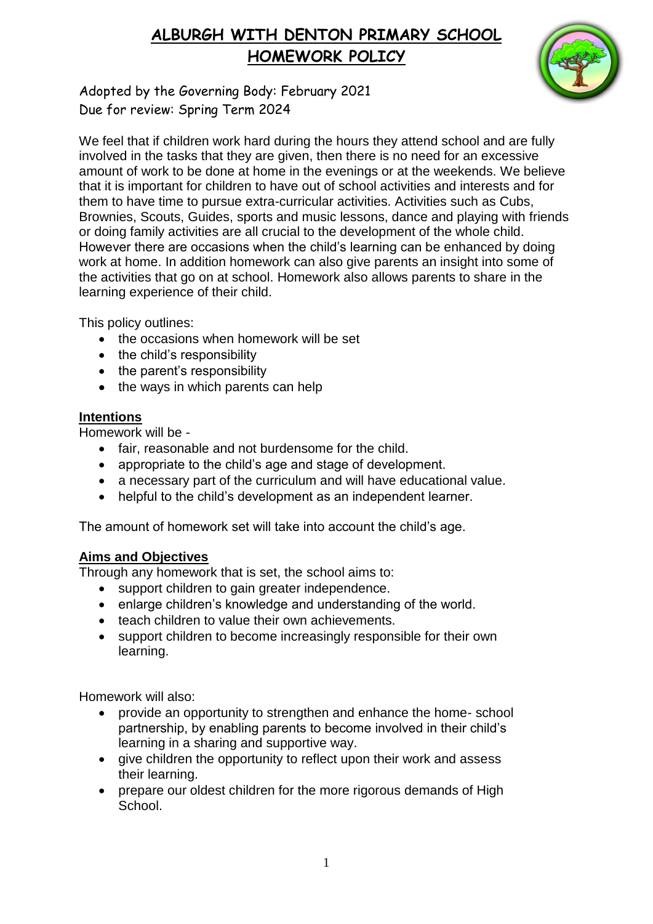# **ALBURGH WITH DENTON PRIMARY SCHOOL HOMEWORK POLICY**



Adopted by the Governing Body: February 2021 Due for review: Spring Term 2024

We feel that if children work hard during the hours they attend school and are fully involved in the tasks that they are given, then there is no need for an excessive amount of work to be done at home in the evenings or at the weekends. We believe that it is important for children to have out of school activities and interests and for them to have time to pursue extra-curricular activities. Activities such as Cubs, Brownies, Scouts, Guides, sports and music lessons, dance and playing with friends or doing family activities are all crucial to the development of the whole child. However there are occasions when the child's learning can be enhanced by doing work at home. In addition homework can also give parents an insight into some of the activities that go on at school. Homework also allows parents to share in the learning experience of their child.

This policy outlines:

- the occasions when homework will be set
- the child's responsibility
- the parent's responsibility
- $\bullet$  the ways in which parents can help

### **Intentions**

Homework will be -

- fair, reasonable and not burdensome for the child.
- appropriate to the child's age and stage of development.
- a necessary part of the curriculum and will have educational value.
- helpful to the child's development as an independent learner.

The amount of homework set will take into account the child's age.

### **Aims and Objectives**

Through any homework that is set, the school aims to:

- support children to gain greater independence.
- enlarge children's knowledge and understanding of the world.
- teach children to value their own achievements.
- support children to become increasingly responsible for their own learning.

Homework will also:

- provide an opportunity to strengthen and enhance the home- school partnership, by enabling parents to become involved in their child's learning in a sharing and supportive way.
- give children the opportunity to reflect upon their work and assess their learning.
- prepare our oldest children for the more rigorous demands of High School.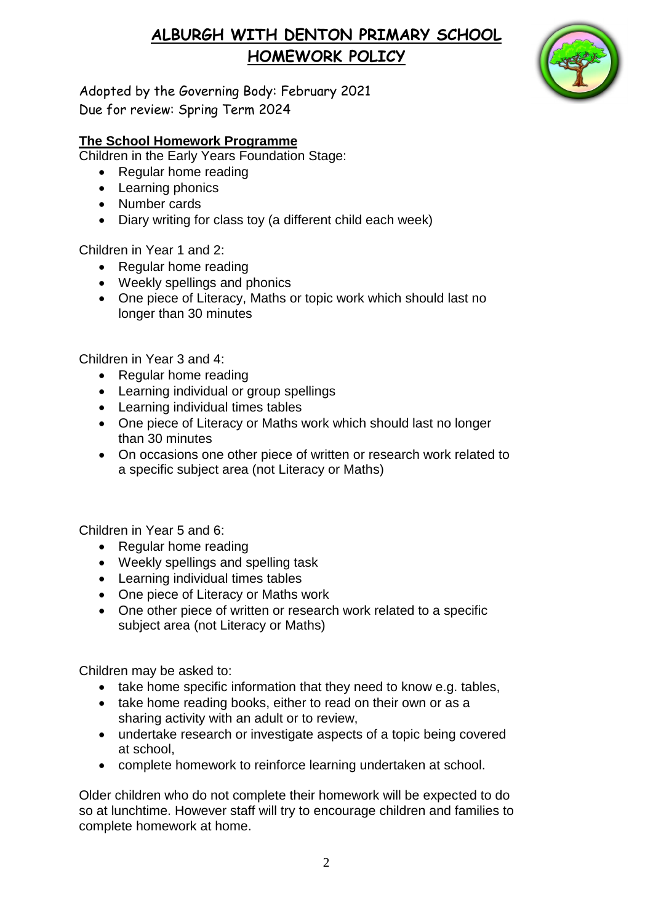# **ALBURGH WITH DENTON PRIMARY SCHOOL HOMEWORK POLICY**



Adopted by the Governing Body: February 2021 Due for review: Spring Term 2024

### **The School Homework Programme**

Children in the Early Years Foundation Stage:

- Regular home reading
- Learning phonics
- Number cards
- Diary writing for class toy (a different child each week)

Children in Year 1 and 2:

- Regular home reading
- Weekly spellings and phonics
- One piece of Literacy, Maths or topic work which should last no longer than 30 minutes

Children in Year 3 and 4:

- Regular home reading
- Learning individual or group spellings
- Learning individual times tables
- One piece of Literacy or Maths work which should last no longer than 30 minutes
- On occasions one other piece of written or research work related to a specific subject area (not Literacy or Maths)

Children in Year 5 and 6:

- Regular home reading
- Weekly spellings and spelling task
- Learning individual times tables
- One piece of Literacy or Maths work
- One other piece of written or research work related to a specific subject area (not Literacy or Maths)

Children may be asked to:

- take home specific information that they need to know e.g. tables,
- take home reading books, either to read on their own or as a sharing activity with an adult or to review,
- undertake research or investigate aspects of a topic being covered at school,
- complete homework to reinforce learning undertaken at school.

Older children who do not complete their homework will be expected to do so at lunchtime. However staff will try to encourage children and families to complete homework at home.